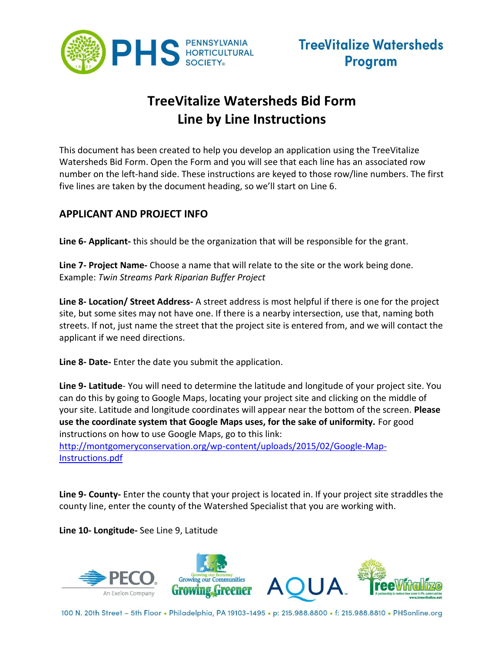

# **TreeVitalize Watersheds Bid Form Line by Line Instructions**

This document has been created to help you develop an application using the TreeVitalize Watersheds Bid Form. Open the Form and you will see that each line has an associated row number on the left-hand side. These instructions are keyed to those row/line numbers. The first five lines are taken by the document heading, so we'll start on Line 6.

### **APPLICANT AND PROJECT INFO**

**Line 6- Applicant-** this should be the organization that will be responsible for the grant.

**Line 7- Project Name-** Choose a name that will relate to the site or the work being done. Example: *Twin Streams Park Riparian Buffer Project*

**Line 8- Location/ Street Address-** A street address is most helpful if there is one for the project site, but some sites may not have one. If there is a nearby intersection, use that, naming both streets. If not, just name the street that the project site is entered from, and we will contact the applicant if we need directions.

**Line 8- Date-** Enter the date you submit the application.

**Line 9- Latitude**- You will need to determine the latitude and longitude of your project site. You can do this by going to Google Maps, locating your project site and clicking on the middle of your site. Latitude and longitude coordinates will appear near the bottom of the screen. **Please use the coordinate system that Google Maps uses, for the sake of uniformity.** For good instructions on how to use Google Maps, go to this link:

[http://montgomeryconservation.org/wp-content/uploads/2015/02/Google-Map-](http://montgomeryconservation.org/wp-content/uploads/2015/02/Google-Map-Instructions.pdf)[Instructions.pdf](http://montgomeryconservation.org/wp-content/uploads/2015/02/Google-Map-Instructions.pdf)

**Line 9- County-** Enter the county that your project is located in. If your project site straddles the county line, enter the county of the Watershed Specialist that you are working with.

**Line 10- Longitude-** See Line 9, Latitude

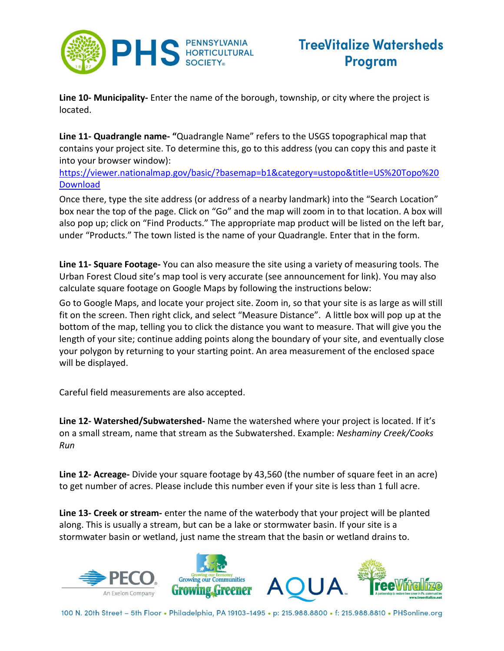

**Line 10- Municipality-** Enter the name of the borough, township, or city where the project is located.

**Line 11- Quadrangle name- "**Quadrangle Name" refers to the USGS topographical map that contains your project site. To determine this, go to this address (you can copy this and paste it into your browser window):

[https://viewer.nationalmap.gov/basic/?basemap=b1&category=ustopo&title=US%20Topo%20](https://viewer.nationalmap.gov/basic/?basemap=b1&category=ustopo&title=US%20Topo%20Download) **[Download](https://viewer.nationalmap.gov/basic/?basemap=b1&category=ustopo&title=US%20Topo%20Download)** 

Once there, type the site address (or address of a nearby landmark) into the "Search Location" box near the top of the page. Click on "Go" and the map will zoom in to that location. A box will also pop up; click on "Find Products." The appropriate map product will be listed on the left bar, under "Products." The town listed is the name of your Quadrangle. Enter that in the form.

**Line 11- Square Footage-** You can also measure the site using a variety of measuring tools. The Urban Forest Cloud site's map tool is very accurate (see announcement for link). You may also calculate square footage on Google Maps by following the instructions below:

Go to Google Maps, and locate your project site. Zoom in, so that your site is as large as will still fit on the screen. Then right click, and select "Measure Distance". A little box will pop up at the bottom of the map, telling you to click the distance you want to measure. That will give you the length of your site; continue adding points along the boundary of your site, and eventually close your polygon by returning to your starting point. An area measurement of the enclosed space will be displayed.

Careful field measurements are also accepted.

**Line 12- Watershed/Subwatershed-** Name the watershed where your project is located. If it's on a small stream, name that stream as the Subwatershed. Example: *Neshaminy Creek/Cooks Run*

**Line 12- Acreage-** Divide your square footage by 43,560 (the number of square feet in an acre) to get number of acres. Please include this number even if your site is less than 1 full acre.

**Line 13- Creek or stream-** enter the name of the waterbody that your project will be planted along. This is usually a stream, but can be a lake or stormwater basin. If your site is a stormwater basin or wetland, just name the stream that the basin or wetland drains to.

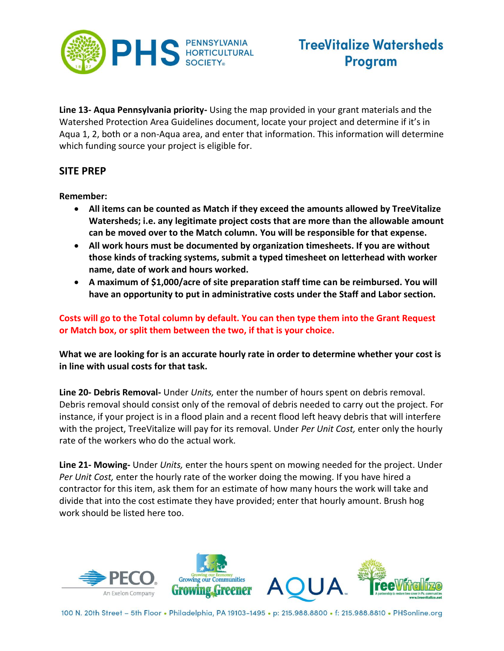

**Line 13- Aqua Pennsylvania priority-** Using the map provided in your grant materials and the Watershed Protection Area Guidelines document, locate your project and determine if it's in Aqua 1, 2, both or a non-Aqua area, and enter that information. This information will determine which funding source your project is eligible for.

### **SITE PREP**

**Remember:**

- **All items can be counted as Match if they exceed the amounts allowed by TreeVitalize Watersheds; i.e. any legitimate project costs that are more than the allowable amount can be moved over to the Match column. You will be responsible for that expense.**
- **All work hours must be documented by organization timesheets. If you are without those kinds of tracking systems, submit a typed timesheet on letterhead with worker name, date of work and hours worked.**
- **A maximum of \$1,000/acre of site preparation staff time can be reimbursed. You will have an opportunity to put in administrative costs under the Staff and Labor section.**

**Costs will go to the Total column by default. You can then type them into the Grant Request or Match box, or split them between the two, if that is your choice.** 

**What we are looking for is an accurate hourly rate in order to determine whether your cost is in line with usual costs for that task.** 

**Line 20- Debris Removal-** Under *Units,* enter the number of hours spent on debris removal. Debris removal should consist only of the removal of debris needed to carry out the project. For instance, if your project is in a flood plain and a recent flood left heavy debris that will interfere with the project, TreeVitalize will pay for its removal. Under *Per Unit Cost,* enter only the hourly rate of the workers who do the actual work.

**Line 21- Mowing-** Under *Units,* enter the hours spent on mowing needed for the project. Under *Per Unit Cost,* enter the hourly rate of the worker doing the mowing. If you have hired a contractor for this item, ask them for an estimate of how many hours the work will take and divide that into the cost estimate they have provided; enter that hourly amount. Brush hog work should be listed here too.

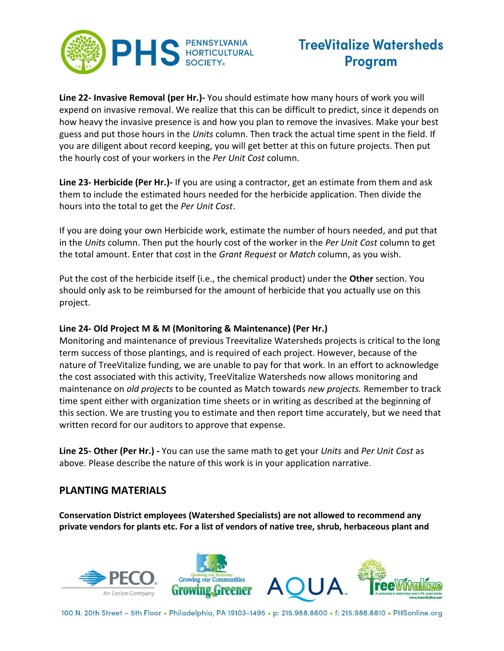

**Line 22- Invasive Removal (per Hr.)-** You should estimate how many hours of work you will expend on invasive removal. We realize that this can be difficult to predict, since it depends on how heavy the invasive presence is and how you plan to remove the invasives. Make your best guess and put those hours in the *Units* column. Then track the actual time spent in the field. If you are diligent about record keeping, you will get better at this on future projects. Then put the hourly cost of your workers in the *Per Unit Cost* column.

**Line 23- Herbicide (Per Hr.)-** If you are using a contractor, get an estimate from them and ask them to include the estimated hours needed for the herbicide application. Then divide the hours into the total to get the *Per Unit Cost*.

If you are doing your own Herbicide work, estimate the number of hours needed, and put that in the *Units* column. Then put the hourly cost of the worker in the *Per Unit Cost* column to get the total amount. Enter that cost in the *Grant Request* or *Match* column, as you wish.

Put the cost of the herbicide itself (i.e., the chemical product) under the **Other** section. You should only ask to be reimbursed for the amount of herbicide that you actually use on this project.

#### **Line 24- Old Project M & M (Monitoring & Maintenance) (Per Hr.)**

Monitoring and maintenance of previous Treevitalize Watersheds projects is critical to the long term success of those plantings, and is required of each project. However, because of the nature of TreeVitalize funding, we are unable to pay for that work. In an effort to acknowledge the cost associated with this activity, TreeVitalize Watersheds now allows monitoring and maintenance on *old projects* to be counted as Match towards *new projects.* Remember to track time spent either with organization time sheets or in writing as described at the beginning of this section. We are trusting you to estimate and then report time accurately, but we need that written record for our auditors to approve that expense.

**Line 25- Other (Per Hr.) -** You can use the same math to get your *Units* and *Per Unit Cost* as above. Please describe the nature of this work is in your application narrative.

#### **PLANTING MATERIALS**

**Conservation District employees (Watershed Specialists) are not allowed to recommend any private vendors for plants etc. For a list of vendors of native tree, shrub, herbaceous plant and** 

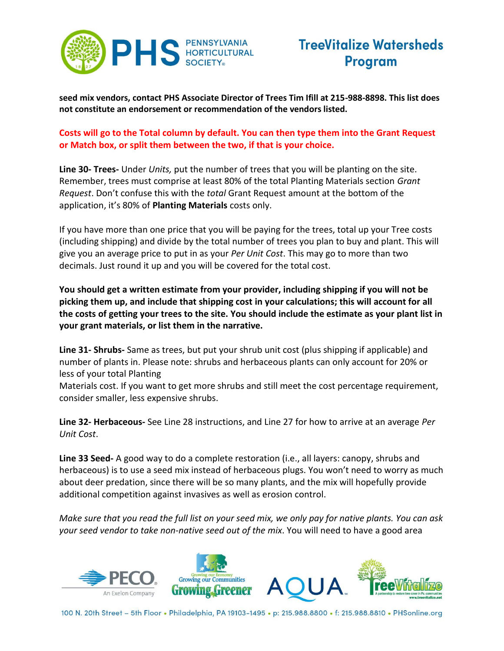

**seed mix vendors, contact PHS Associate Director of Trees Tim Ifill at 215-988-8898. This list does not constitute an endorsement or recommendation of the vendors listed.**

#### **Costs will go to the Total column by default. You can then type them into the Grant Request or Match box, or split them between the two, if that is your choice.**

**Line 30- Trees-** Under *Units,* put the number of trees that you will be planting on the site. Remember, trees must comprise at least 80% of the total Planting Materials section *Grant Request*. Don't confuse this with the *total* Grant Request amount at the bottom of the application, it's 80% of **Planting Materials** costs only.

If you have more than one price that you will be paying for the trees, total up your Tree costs (including shipping) and divide by the total number of trees you plan to buy and plant. This will give you an average price to put in as your *Per Unit Cost*. This may go to more than two decimals. Just round it up and you will be covered for the total cost.

**You should get a written estimate from your provider, including shipping if you will not be picking them up, and include that shipping cost in your calculations; this will account for all the costs of getting your trees to the site. You should include the estimate as your plant list in your grant materials, or list them in the narrative.**

**Line 31- Shrubs-** Same as trees, but put your shrub unit cost (plus shipping if applicable) and number of plants in. Please note: shrubs and herbaceous plants can only account for 20% or less of your total Planting

Materials cost. If you want to get more shrubs and still meet the cost percentage requirement, consider smaller, less expensive shrubs.

**Line 32- Herbaceous-** See Line 28 instructions, and Line 27 for how to arrive at an average *Per Unit Cost*.

**Line 33 Seed-** A good way to do a complete restoration (i.e., all layers: canopy, shrubs and herbaceous) is to use a seed mix instead of herbaceous plugs. You won't need to worry as much about deer predation, since there will be so many plants, and the mix will hopefully provide additional competition against invasives as well as erosion control.

*Make sure that you read the full list on your seed mix, we only pay for native plants. You can ask your seed vendor to take non-native seed out of the mix*. You will need to have a good area

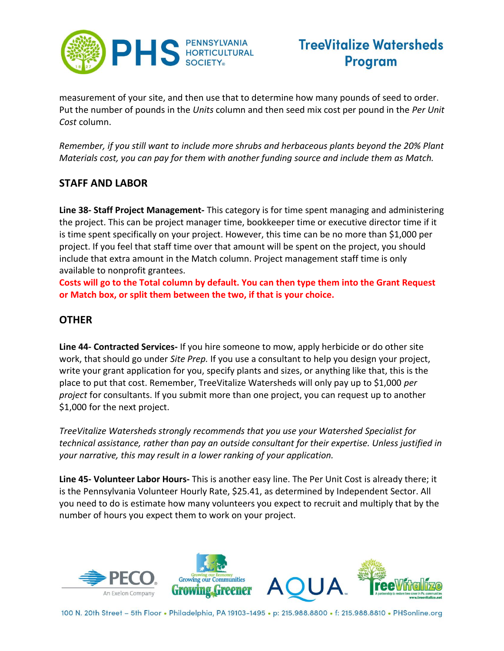

measurement of your site, and then use that to determine how many pounds of seed to order. Put the number of pounds in the *Units* column and then seed mix cost per pound in the *Per Unit Cost* column.

*Remember, if you still want to include more shrubs and herbaceous plants beyond the 20% Plant Materials cost, you can pay for them with another funding source and include them as Match.*

### **STAFF AND LABOR**

**Line 38- Staff Project Management-** This category is for time spent managing and administering the project. This can be project manager time, bookkeeper time or executive director time if it is time spent specifically on your project. However, this time can be no more than \$1,000 per project. If you feel that staff time over that amount will be spent on the project, you should include that extra amount in the Match column. Project management staff time is only available to nonprofit grantees.

**Costs will go to the Total column by default. You can then type them into the Grant Request or Match box, or split them between the two, if that is your choice.** 

### **OTHER**

**Line 44- Contracted Services-** If you hire someone to mow, apply herbicide or do other site work, that should go under *Site Prep.* If you use a consultant to help you design your project, write your grant application for you, specify plants and sizes, or anything like that, this is the place to put that cost. Remember, TreeVitalize Watersheds will only pay up to \$1,000 *per project* for consultants. If you submit more than one project, you can request up to another \$1,000 for the next project.

*TreeVitalize Watersheds strongly recommends that you use your Watershed Specialist for technical assistance, rather than pay an outside consultant for their expertise. Unless justified in your narrative, this may result in a lower ranking of your application.*

**Line 45- Volunteer Labor Hours-** This is another easy line. The Per Unit Cost is already there; it is the Pennsylvania Volunteer Hourly Rate, \$25.41, as determined by Independent Sector. All you need to do is estimate how many volunteers you expect to recruit and multiply that by the number of hours you expect them to work on your project.

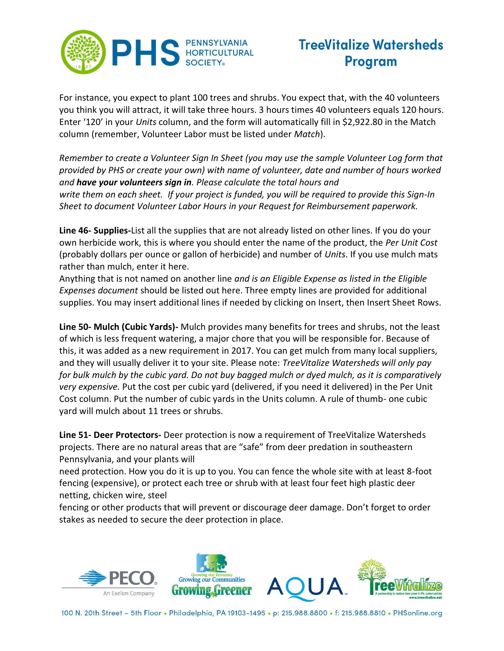

For instance, you expect to plant 100 trees and shrubs. You expect that, with the 40 volunteers you think you will attract, it will take three hours. 3 hours times 40 volunteers equals 120 hours. Enter '120' in your *Units* column, and the form will automatically fill in \$2,922.80 in the Match column (remember, Volunteer Labor must be listed under *Match*).

*Remember to create a Volunteer Sign In Sheet (you may use the sample Volunteer Log form that provided by PHS or create your own) with name of volunteer, date and number of hours worked and have your volunteers sign in. Please calculate the total hours and write them on each sheet. If your project is funded, you will be required to provide this Sign-In Sheet to document Volunteer Labor Hours in your Request for Reimbursement paperwork.*

**Line 46- Supplies-**List all the supplies that are not already listed on other lines. If you do your own herbicide work, this is where you should enter the name of the product, the *Per Unit Cost* (probably dollars per ounce or gallon of herbicide) and number of *Units*. If you use mulch mats rather than mulch, enter it here.

Anything that is not named on another line *and is an Eligible Expense as listed in the Eligible Expenses document* should be listed out here. Three empty lines are provided for additional supplies. You may insert additional lines if needed by clicking on Insert, then Insert Sheet Rows.

**Line 50- Mulch (Cubic Yards)-** Mulch provides many benefits for trees and shrubs, not the least of which is less frequent watering, a major chore that you will be responsible for. Because of this, it was added as a new requirement in 2017. You can get mulch from many local suppliers, and they will usually deliver it to your site. Please note: *TreeVitalize Watersheds will only pay for bulk mulch by the cubic yard. Do not buy bagged mulch or dyed mulch, as it is comparatively very expensive.* Put the cost per cubic yard (delivered, if you need it delivered) in the Per Unit Cost column. Put the number of cubic yards in the Units column. A rule of thumb- one cubic yard will mulch about 11 trees or shrubs.

**Line 51- Deer Protectors-** Deer protection is now a requirement of TreeVitalize Watersheds projects. There are no natural areas that are "safe" from deer predation in southeastern Pennsylvania, and your plants will

need protection. How you do it is up to you. You can fence the whole site with at least 8-foot fencing (expensive), or protect each tree or shrub with at least four feet high plastic deer netting, chicken wire, steel

fencing or other products that will prevent or discourage deer damage. Don't forget to order stakes as needed to secure the deer protection in place.

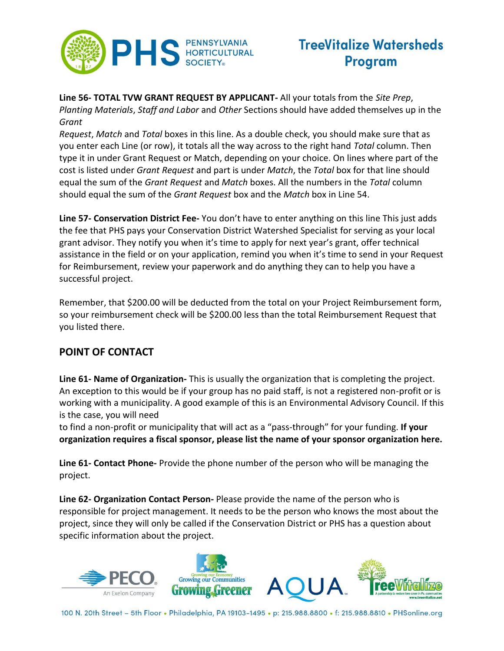

**Line 56- TOTAL TVW GRANT REQUEST BY APPLICANT-** All your totals from the *Site Prep*, *Planting Materials*, *Staff and Labor* and *Other* Sections should have added themselves up in the *Grant* 

*Request*, *Match* and *Total* boxes in this line. As a double check, you should make sure that as you enter each Line (or row), it totals all the way across to the right hand *Total* column. Then type it in under Grant Request or Match, depending on your choice. On lines where part of the cost is listed under *Grant Request* and part is under *Match*, the *Total* box for that line should equal the sum of the *Grant Request* and *Match* boxes. All the numbers in the *Total* column should equal the sum of the *Grant Request* box and the *Match* box in Line 54.

**Line 57- Conservation District Fee-** You don't have to enter anything on this line This just adds the fee that PHS pays your Conservation District Watershed Specialist for serving as your local grant advisor. They notify you when it's time to apply for next year's grant, offer technical assistance in the field or on your application, remind you when it's time to send in your Request for Reimbursement, review your paperwork and do anything they can to help you have a successful project.

Remember, that \$200.00 will be deducted from the total on your Project Reimbursement form, so your reimbursement check will be \$200.00 less than the total Reimbursement Request that you listed there.

### **POINT OF CONTACT**

**Line 61- Name of Organization-** This is usually the organization that is completing the project. An exception to this would be if your group has no paid staff, is not a registered non-profit or is working with a municipality. A good example of this is an Environmental Advisory Council. If this is the case, you will need

to find a non-profit or municipality that will act as a "pass-through" for your funding. **If your organization requires a fiscal sponsor, please list the name of your sponsor organization here.**

**Line 61- Contact Phone-** Provide the phone number of the person who will be managing the project.

**Line 62- Organization Contact Person-** Please provide the name of the person who is responsible for project management. It needs to be the person who knows the most about the project, since they will only be called if the Conservation District or PHS has a question about specific information about the project.